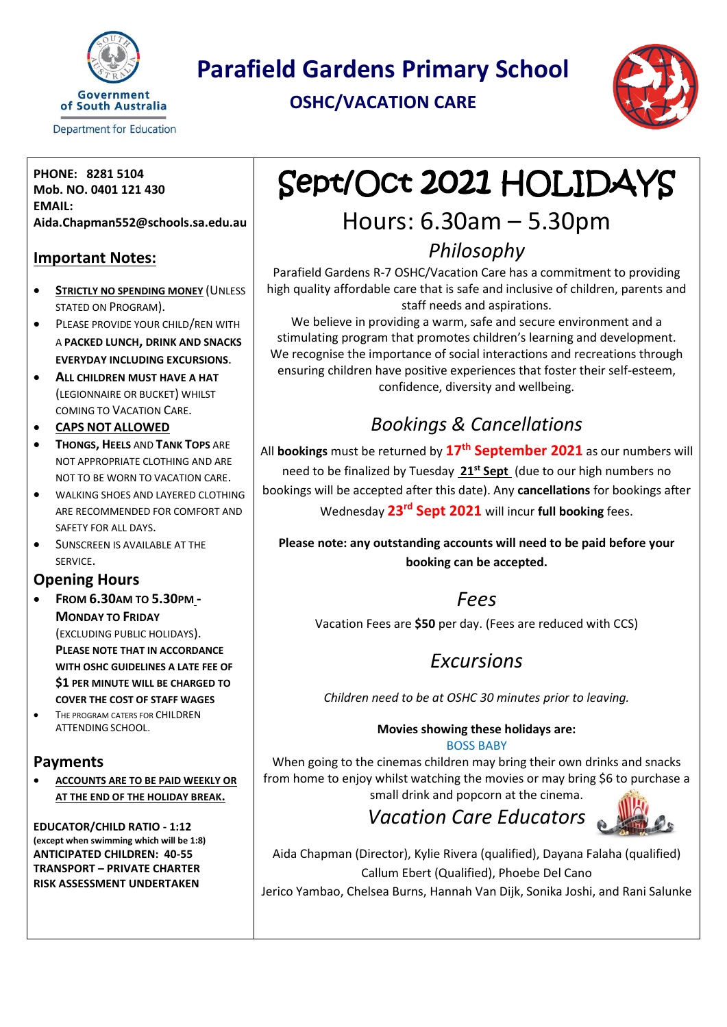

**Department for Education** 

**Parafield Gardens Primary School**

**OSHC/VACATION CARE**



**PHONE: 8281 5104 Mob. NO. 0401 121 430 EMAIL: Aida.Chapman552@schools.sa.edu.au**

#### **Important Notes:**

- **STRICTLY NO SPENDING MONEY** (UNLESS STATED ON PROGRAM).
- **PLEASE PROVIDE YOUR CHILD/REN WITH** A **PACKED LUNCH, DRINK AND SNACKS EVERYDAY INCLUDING EXCURSIONS**.
- **ALL CHILDREN MUST HAVE A HAT** (LEGIONNAIRE OR BUCKET) WHILST COMING TO VACATION CARE.
- **CAPS NOT ALLOWED**
- **THONGS, HEELS** AND **TANK TOPS** ARE NOT APPROPRIATE CLOTHING AND ARE NOT TO BE WORN TO VACATION CARE.
- WALKING SHOES AND LAYERED CLOTHING ARE RECOMMENDED FOR COMFORT AND SAFETY FOR ALL DAYS.
- **SUNSCREEN IS AVAILABLE AT THE** SERVICE.

#### **Opening Hours**

• **FROM 6.30AM TO 5.30PM - MONDAY TO FRIDAY**

> (EXCLUDING PUBLIC HOLIDAYS). **PLEASE NOTE THAT IN ACCORDANCE WITH OSHC GUIDELINES A LATE FEE OF \$1 PER MINUTE WILL BE CHARGED TO COVER THE COST OF STAFF WAGES**

• THE PROGRAM CATERS FOR CHILDREN ATTENDING SCHOOL.

#### **Payments**

• **ACCOUNTS ARE TO BE PAID WEEKLY OR AT THE END OF THE HOLIDAY BREAK.**

**EDUCATOR/CHILD RATIO - 1:12 (except when swimming which will be 1:8) ANTICIPATED CHILDREN: 40-55 TRANSPORT – PRIVATE CHARTER RISK ASSESSMENT UNDERTAKEN**

# Sept/Oct 2021 HOLIDAYS

# Hours: 6.30am – 5.30pm

## *Philosophy*

Parafield Gardens R-7 OSHC/Vacation Care has a commitment to providing high quality affordable care that is safe and inclusive of children, parents and staff needs and aspirations.

We believe in providing a warm, safe and secure environment and a stimulating program that promotes children's learning and development. We recognise the importance of social interactions and recreations through ensuring children have positive experiences that foster their self-esteem, confidence, diversity and wellbeing.

# *Bookings & Cancellations*

All **bookings** must be returned by **17th September 2021** as our numbers will need to be finalized by Tuesday **21st Sept** (due to our high numbers no bookings will be accepted after this date). Any **cancellations** for bookings after Wednesday **23rd Sept 2021** will incur **full booking** fees.

**Please note: any outstanding accounts will need to be paid before your booking can be accepted.** 

### *Fees*

Vacation Fees are **\$50** per day. (Fees are reduced with CCS)

# *Excursions*

*Children need to be at OSHC 30 minutes prior to leaving.*

#### **Movies showing these holidays are:**

BOSS BABY

When going to the cinemas children may bring their own drinks and snacks from home to enjoy whilst watching the movies or may bring \$6 to purchase a small drink and popcorn at the cinema.

*Vacation Care Educators* 



Aida Chapman (Director), Kylie Rivera (qualified), Dayana Falaha (qualified) Callum Ebert (Qualified), Phoebe Del Cano

Jerico Yambao, Chelsea Burns, Hannah Van Dijk, Sonika Joshi, and Rani Salunke